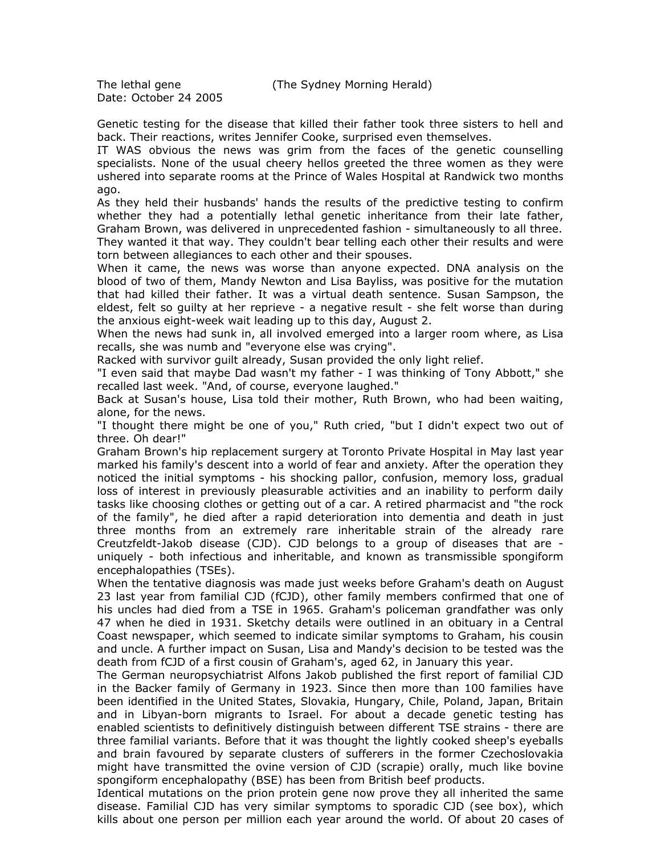The lethal gene (The Sydney Morning Herald)

Date: October 24 2005

Genetic testing for the disease that killed their father took three sisters to hell and back. Their reactions, writes Jennifer Cooke, surprised even themselves.

IT WAS obvious the news was grim from the faces of the genetic counselling specialists. None of the usual cheery hellos greeted the three women as they were ushered into separate rooms at the Prince of Wales Hospital at Randwick two months ago.

As they held their husbands' hands the results of the predictive testing to confirm whether they had a potentially lethal genetic inheritance from their late father, Graham Brown, was delivered in unprecedented fashion - simultaneously to all three. They wanted it that way. They couldn't bear telling each other their results and were torn between allegiances to each other and their spouses.

When it came, the news was worse than anyone expected. DNA analysis on the blood of two of them, Mandy Newton and Lisa Bayliss, was positive for the mutation that had killed their father. It was a virtual death sentence. Susan Sampson, the eldest, felt so guilty at her reprieve - a negative result - she felt worse than during the anxious eight-week wait leading up to this day, August 2.

When the news had sunk in, all involved emerged into a larger room where, as Lisa recalls, she was numb and "everyone else was crying".

Racked with survivor guilt already, Susan provided the only light relief.

"I even said that maybe Dad wasn't my father - I was thinking of Tony Abbott," she recalled last week. "And, of course, everyone laughed."

Back at Susan's house, Lisa told their mother, Ruth Brown, who had been waiting, alone, for the news.

"I thought there might be one of you," Ruth cried, "but I didn't expect two out of three. Oh dear!"

Graham Brown's hip replacement surgery at Toronto Private Hospital in May last year marked his family's descent into a world of fear and anxiety. After the operation they noticed the initial symptoms - his shocking pallor, confusion, memory loss, gradual loss of interest in previously pleasurable activities and an inability to perform daily tasks like choosing clothes or getting out of a car. A retired pharmacist and "the rock of the family", he died after a rapid deterioration into dementia and death in just three months from an extremely rare inheritable strain of the already rare Creutzfeldt-Jakob disease (CJD). CJD belongs to a group of diseases that are uniquely - both infectious and inheritable, and known as transmissible spongiform encephalopathies (TSEs).

When the tentative diagnosis was made just weeks before Graham's death on August 23 last year from familial CJD (fCJD), other family members confirmed that one of his uncles had died from a TSE in 1965. Graham's policeman grandfather was only 47 when he died in 1931. Sketchy details were outlined in an obituary in a Central Coast newspaper, which seemed to indicate similar symptoms to Graham, his cousin and uncle. A further impact on Susan, Lisa and Mandy's decision to be tested was the death from fCJD of a first cousin of Graham's, aged 62, in January this year.

The German neuropsychiatrist Alfons Jakob published the first report of familial CJD in the Backer family of Germany in 1923. Since then more than 100 families have been identified in the United States, Slovakia, Hungary, Chile, Poland, Japan, Britain and in Libyan-born migrants to Israel. For about a decade genetic testing has enabled scientists to definitively distinguish between different TSE strains - there are three familial variants. Before that it was thought the lightly cooked sheep's eyeballs and brain favoured by separate clusters of sufferers in the former Czechoslovakia might have transmitted the ovine version of CJD (scrapie) orally, much like bovine spongiform encephalopathy (BSE) has been from British beef products.

Identical mutations on the prion protein gene now prove they all inherited the same disease. Familial CJD has very similar symptoms to sporadic CJD (see box), which kills about one person per million each year around the world. Of about 20 cases of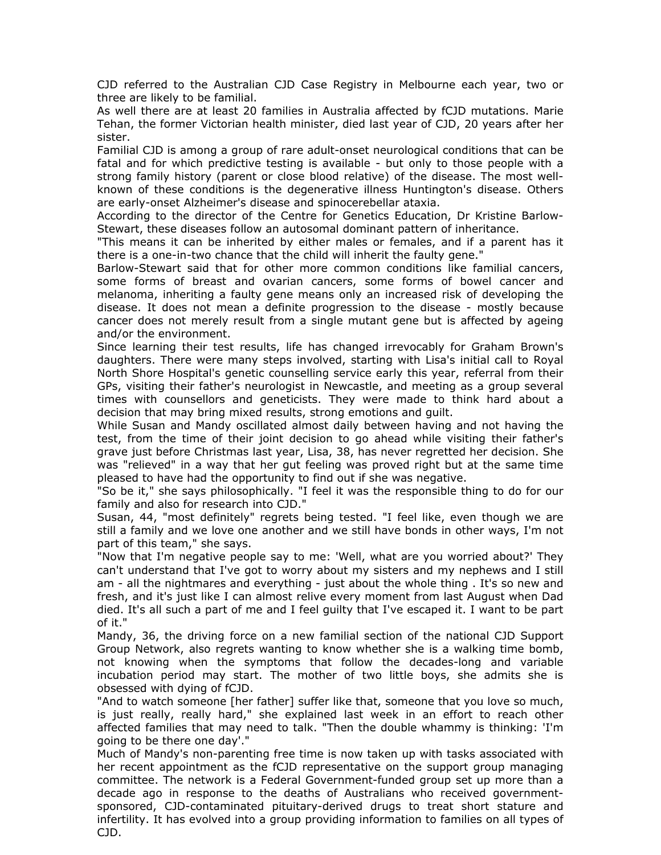CJD referred to the Australian CJD Case Registry in Melbourne each year, two or three are likely to be familial.

As well there are at least 20 families in Australia affected by fCJD mutations. Marie Tehan, the former Victorian health minister, died last year of CJD, 20 years after her sister.

Familial CJD is among a group of rare adult-onset neurological conditions that can be fatal and for which predictive testing is available - but only to those people with a strong family history (parent or close blood relative) of the disease. The most wellknown of these conditions is the degenerative illness Huntington's disease. Others are early-onset Alzheimer's disease and spinocerebellar ataxia.

According to the director of the Centre for Genetics Education, Dr Kristine Barlow-Stewart, these diseases follow an autosomal dominant pattern of inheritance.

"This means it can be inherited by either males or females, and if a parent has it there is a one-in-two chance that the child will inherit the faulty gene."

Barlow-Stewart said that for other more common conditions like familial cancers, some forms of breast and ovarian cancers, some forms of bowel cancer and melanoma, inheriting a faulty gene means only an increased risk of developing the disease. It does not mean a definite progression to the disease - mostly because cancer does not merely result from a single mutant gene but is affected by ageing and/or the environment.

Since learning their test results, life has changed irrevocably for Graham Brown's daughters. There were many steps involved, starting with Lisa's initial call to Royal North Shore Hospital's genetic counselling service early this year, referral from their GPs, visiting their father's neurologist in Newcastle, and meeting as a group several times with counsellors and geneticists. They were made to think hard about a decision that may bring mixed results, strong emotions and guilt.

While Susan and Mandy oscillated almost daily between having and not having the test, from the time of their joint decision to go ahead while visiting their father's grave just before Christmas last year, Lisa, 38, has never regretted her decision. She was "relieved" in a way that her gut feeling was proved right but at the same time pleased to have had the opportunity to find out if she was negative.

"So be it," she says philosophically. "I feel it was the responsible thing to do for our family and also for research into CJD."

Susan, 44, "most definitely" regrets being tested. "I feel like, even though we are still a family and we love one another and we still have bonds in other ways, I'm not part of this team," she says.

"Now that I'm negative people say to me: 'Well, what are you worried about?' They can't understand that I've got to worry about my sisters and my nephews and I still am - all the nightmares and everything - just about the whole thing . It's so new and fresh, and it's just like I can almost relive every moment from last August when Dad died. It's all such a part of me and I feel guilty that I've escaped it. I want to be part of it."

Mandy, 36, the driving force on a new familial section of the national CJD Support Group Network, also regrets wanting to know whether she is a walking time bomb, not knowing when the symptoms that follow the decades-long and variable incubation period may start. The mother of two little boys, she admits she is obsessed with dying of fCJD.

"And to watch someone [her father] suffer like that, someone that you love so much, is just really, really hard," she explained last week in an effort to reach other affected families that may need to talk. "Then the double whammy is thinking: 'I'm going to be there one day'."

Much of Mandy's non-parenting free time is now taken up with tasks associated with her recent appointment as the fCJD representative on the support group managing committee. The network is a Federal Government-funded group set up more than a decade ago in response to the deaths of Australians who received governmentsponsored, CJD-contaminated pituitary-derived drugs to treat short stature and infertility. It has evolved into a group providing information to families on all types of CJD.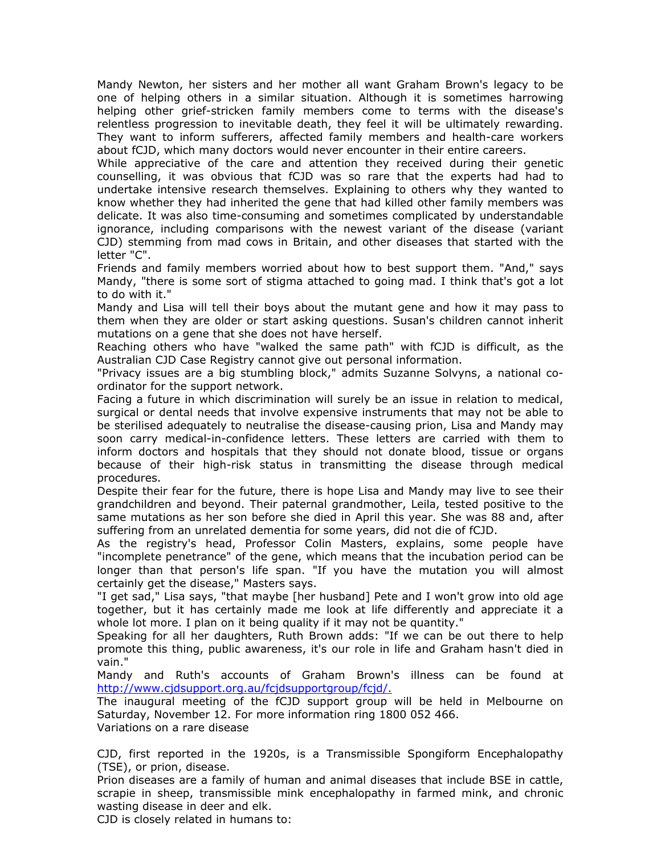Mandy Newton, her sisters and her mother all want Graham Brown's legacy to be one of helping others in a similar situation. Although it is sometimes harrowing helping other grief-stricken family members come to terms with the disease's relentless progression to inevitable death, they feel it will be ultimately rewarding. They want to inform sufferers, affected family members and health-care workers about fCJD, which many doctors would never encounter in their entire careers.

While appreciative of the care and attention they received during their genetic counselling, it was obvious that fCJD was so rare that the experts had had to undertake intensive research themselves. Explaining to others why they wanted to know whether they had inherited the gene that had killed other family members was delicate. It was also time-consuming and sometimes complicated by understandable ignorance, including comparisons with the newest variant of the disease (variant CJD) stemming from mad cows in Britain, and other diseases that started with the letter "C".

Friends and family members worried about how to best support them. "And," says Mandy, "there is some sort of stigma attached to going mad. I think that's got a lot to do with it."

Mandy and Lisa will tell their boys about the mutant gene and how it may pass to them when they are older or start asking questions. Susan's children cannot inherit mutations on a gene that she does not have herself.

Reaching others who have "walked the same path" with fCJD is difficult, as the Australian CJD Case Registry cannot give out personal information.

"Privacy issues are a big stumbling block," admits Suzanne Solvyns, a national coordinator for the support network.

Facing a future in which discrimination will surely be an issue in relation to medical, surgical or dental needs that involve expensive instruments that may not be able to be sterilised adequately to neutralise the disease-causing prion, Lisa and Mandy may soon carry medical-in-confidence letters. These letters are carried with them to inform doctors and hospitals that they should not donate blood, tissue or organs because of their high-risk status in transmitting the disease through medical procedures.

Despite their fear for the future, there is hope Lisa and Mandy may live to see their grandchildren and beyond. Their paternal grandmother, Leila, tested positive to the same mutations as her son before she died in April this year. She was 88 and, after suffering from an unrelated dementia for some years, did not die of fCJD.

As the registry's head, Professor Colin Masters, explains, some people have "incomplete penetrance" of the gene, which means that the incubation period can be longer than that person's life span. "If you have the mutation you will almost certainly get the disease," Masters says.

"I get sad," Lisa says, "that maybe [her husband] Pete and I won't grow into old age together, but it has certainly made me look at life differently and appreciate it a whole lot more. I plan on it being quality if it may not be quantity."

Speaking for all her daughters, Ruth Brown adds: "If we can be out there to help promote this thing, public awareness, it's our role in life and Graham hasn't died in vain."

Mandy and Ruth's accounts of Graham Brown's illness can be found at http://www.cjdsupport.org.au/fcjdsupportgroup/fcjd/.

The inaugural meeting of the fCJD support group will be held in Melbourne on Saturday, November 12. For more information ring 1800 052 466. Variations on a rare disease

CJD, first reported in the 1920s, is a Transmissible Spongiform Encephalopathy (TSE), or prion, disease.

Prion diseases are a family of human and animal diseases that include BSE in cattle, scrapie in sheep, transmissible mink encephalopathy in farmed mink, and chronic wasting disease in deer and elk.

CJD is closely related in humans to: